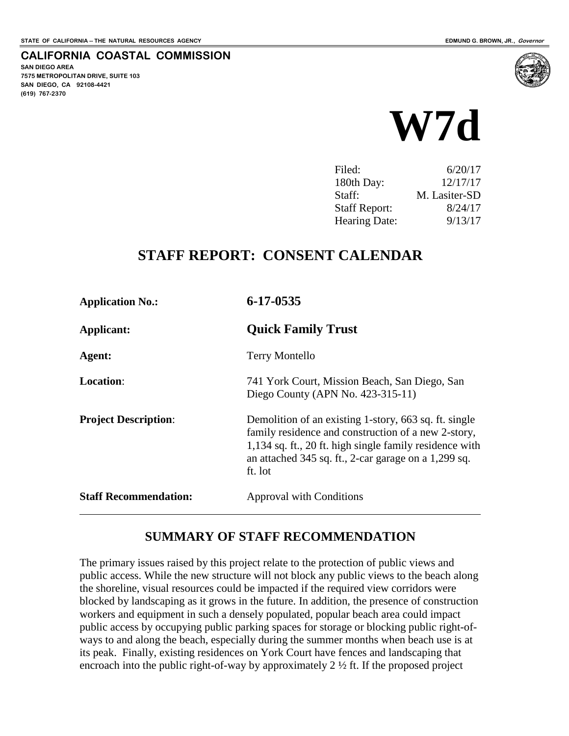**SAN DIEGO AREA**

**(619) 767-2370**

**7575 METROPOLITAN DRIVE, SUITE 103 SAN DIEGO, CA 92108-4421**

**CALIFORNIA COASTAL COMMISSION**



| Filed:               | 6/20/17       |
|----------------------|---------------|
| 180th Day:           | 12/17/17      |
| Staff:               | M. Lasiter-SD |
| <b>Staff Report:</b> | 8/24/17       |
| <b>Hearing Date:</b> | 9/13/17       |

## **STAFF REPORT: CONSENT CALENDAR**

| <b>Application No.:</b>      | $6 - 17 - 0535$                                                                                                                                                                                                                              |
|------------------------------|----------------------------------------------------------------------------------------------------------------------------------------------------------------------------------------------------------------------------------------------|
| Applicant:                   | <b>Quick Family Trust</b>                                                                                                                                                                                                                    |
| Agent:                       | <b>Terry Montello</b>                                                                                                                                                                                                                        |
| <b>Location:</b>             | 741 York Court, Mission Beach, San Diego, San<br>Diego County (APN No. 423-315-11)                                                                                                                                                           |
| <b>Project Description:</b>  | Demolition of an existing 1-story, 663 sq. ft. single<br>family residence and construction of a new 2-story,<br>1,134 sq. ft., 20 ft. high single family residence with<br>an attached 345 sq. ft., 2-car garage on a $1,299$ sq.<br>ft. lot |
| <b>Staff Recommendation:</b> | Approval with Conditions                                                                                                                                                                                                                     |

#### **SUMMARY OF STAFF RECOMMENDATION**

The primary issues raised by this project relate to the protection of public views and public access. While the new structure will not block any public views to the beach along the shoreline, visual resources could be impacted if the required view corridors were blocked by landscaping as it grows in the future. In addition, the presence of construction workers and equipment in such a densely populated, popular beach area could impact public access by occupying public parking spaces for storage or blocking public right-ofways to and along the beach, especially during the summer months when beach use is at its peak. Finally, existing residences on York Court have fences and landscaping that encroach into the public right-of-way by approximately 2 ½ ft. If the proposed project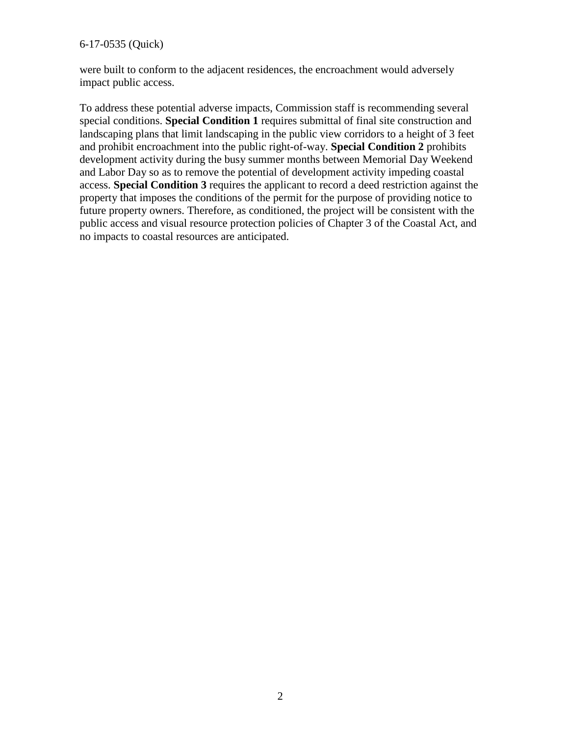#### 6-17-0535 (Quick)

were built to conform to the adjacent residences, the encroachment would adversely impact public access.

To address these potential adverse impacts, Commission staff is recommending several special conditions. **Special Condition 1** requires submittal of final site construction and landscaping plans that limit landscaping in the public view corridors to a height of 3 feet and prohibit encroachment into the public right-of-way. **Special Condition 2** prohibits development activity during the busy summer months between Memorial Day Weekend and Labor Day so as to remove the potential of development activity impeding coastal access. **Special Condition 3** requires the applicant to record a deed restriction against the property that imposes the conditions of the permit for the purpose of providing notice to future property owners. Therefore, as conditioned, the project will be consistent with the public access and visual resource protection policies of Chapter 3 of the Coastal Act, and no impacts to coastal resources are anticipated.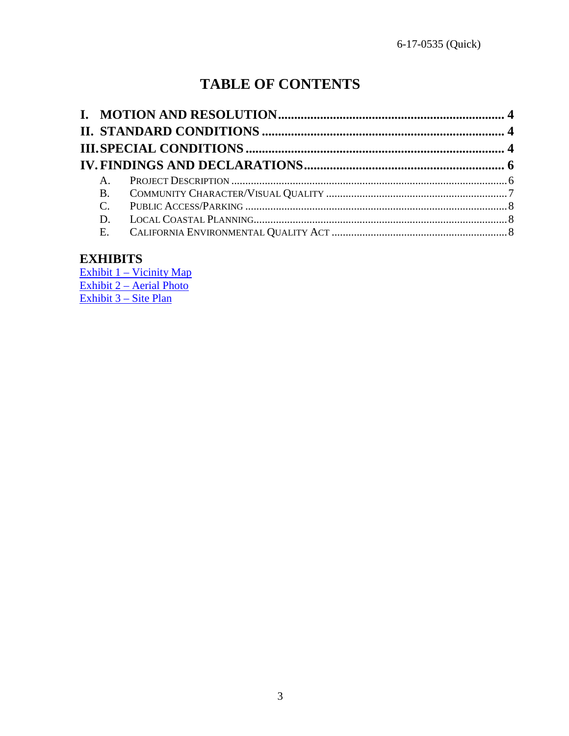# **TABLE OF CONTENTS**

| $A_{1}$ |  |
|---------|--|
|         |  |
|         |  |
|         |  |
|         |  |

## **EXHIBITS**

[Exhibit 1 – Vicinity Map](https://documents.coastal.ca.gov/reports/2017/9/w7d/w7d-9-2017-exhibits.pdf) [Exhibit 2 – Aerial Photo](https://documents.coastal.ca.gov/reports/2017/9/w7d/w7d-9-2017-exhibits.pdf) [Exhibit 3 – Site Plan](https://documents.coastal.ca.gov/reports/2017/9/w7d/w7d-9-2017-exhibits.pdf)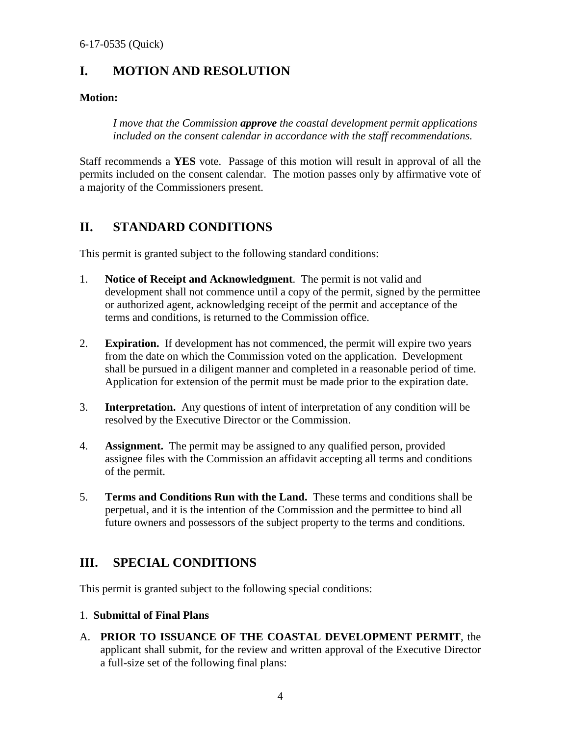## <span id="page-3-0"></span>**I. MOTION AND RESOLUTION**

#### **Motion:**

*I move that the Commission approve the coastal development permit applications included on the consent calendar in accordance with the staff recommendations.* 

Staff recommends a **YES** vote. Passage of this motion will result in approval of all the permits included on the consent calendar. The motion passes only by affirmative vote of a majority of the Commissioners present.

## <span id="page-3-1"></span>**II. STANDARD CONDITIONS**

This permit is granted subject to the following standard conditions:

- 1. **Notice of Receipt and Acknowledgment**. The permit is not valid and development shall not commence until a copy of the permit, signed by the permittee or authorized agent, acknowledging receipt of the permit and acceptance of the terms and conditions, is returned to the Commission office.
- 2. **Expiration.** If development has not commenced, the permit will expire two years from the date on which the Commission voted on the application. Development shall be pursued in a diligent manner and completed in a reasonable period of time. Application for extension of the permit must be made prior to the expiration date.
- 3. **Interpretation.** Any questions of intent of interpretation of any condition will be resolved by the Executive Director or the Commission.
- 4. **Assignment.** The permit may be assigned to any qualified person, provided assignee files with the Commission an affidavit accepting all terms and conditions of the permit.
- 5. **Terms and Conditions Run with the Land.** These terms and conditions shall be perpetual, and it is the intention of the Commission and the permittee to bind all future owners and possessors of the subject property to the terms and conditions.

## <span id="page-3-2"></span>**III. SPECIAL CONDITIONS**

This permit is granted subject to the following special conditions:

#### 1. **Submittal of Final Plans**

A. **PRIOR TO ISSUANCE OF THE COASTAL DEVELOPMENT PERMIT**, the applicant shall submit, for the review and written approval of the Executive Director a full-size set of the following final plans: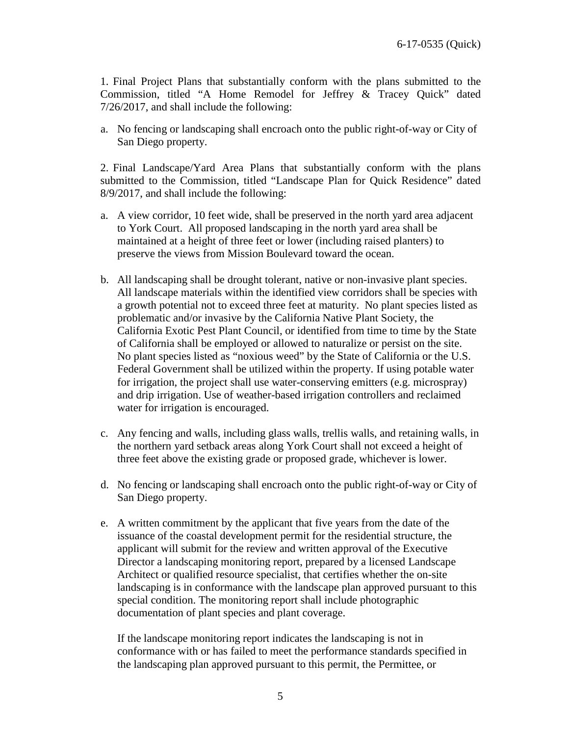1. Final Project Plans that substantially conform with the plans submitted to the Commission, titled "A Home Remodel for Jeffrey & Tracey Quick" dated 7/26/2017, and shall include the following:

a. No fencing or landscaping shall encroach onto the public right-of-way or City of San Diego property.

 2. Final Landscape/Yard Area Plans that substantially conform with the plans submitted to the Commission, titled "Landscape Plan for Quick Residence" dated 8/9/2017, and shall include the following:

- a. A view corridor, 10 feet wide, shall be preserved in the north yard area adjacent to York Court. All proposed landscaping in the north yard area shall be maintained at a height of three feet or lower (including raised planters) to preserve the views from Mission Boulevard toward the ocean.
- b. All landscaping shall be drought tolerant, native or non-invasive plant species. All landscape materials within the identified view corridors shall be species with a growth potential not to exceed three feet at maturity. No plant species listed as problematic and/or invasive by the California Native Plant Society, the California Exotic Pest Plant Council, or identified from time to time by the State of California shall be employed or allowed to naturalize or persist on the site. No plant species listed as "noxious weed" by the State of California or the U.S. Federal Government shall be utilized within the property. If using potable water for irrigation, the project shall use water-conserving emitters (e.g. microspray) and drip irrigation. Use of weather-based irrigation controllers and reclaimed water for irrigation is encouraged.
- c. Any fencing and walls, including glass walls, trellis walls, and retaining walls, in the northern yard setback areas along York Court shall not exceed a height of three feet above the existing grade or proposed grade, whichever is lower.
- d. No fencing or landscaping shall encroach onto the public right-of-way or City of San Diego property.
- e. A written commitment by the applicant that five years from the date of the issuance of the coastal development permit for the residential structure, the applicant will submit for the review and written approval of the Executive Director a landscaping monitoring report, prepared by a licensed Landscape Architect or qualified resource specialist, that certifies whether the on-site landscaping is in conformance with the landscape plan approved pursuant to this special condition. The monitoring report shall include photographic documentation of plant species and plant coverage.

If the landscape monitoring report indicates the landscaping is not in conformance with or has failed to meet the performance standards specified in the landscaping plan approved pursuant to this permit, the Permittee, or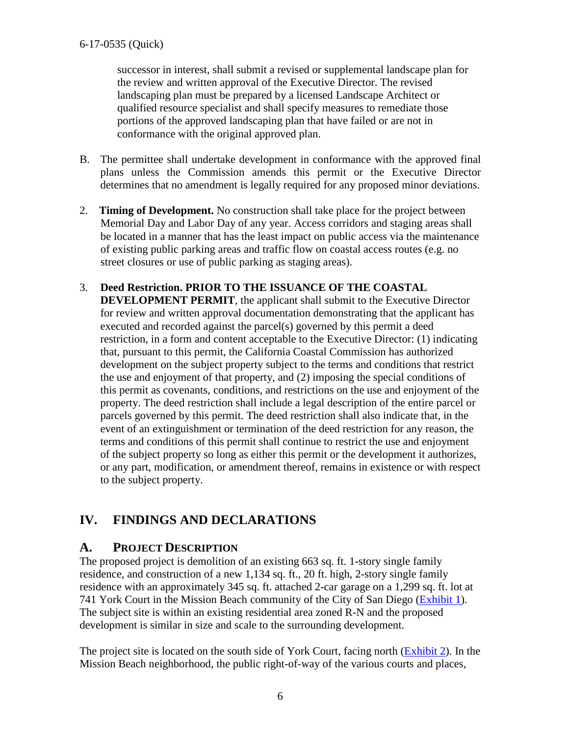successor in interest, shall submit a revised or supplemental landscape plan for the review and written approval of the Executive Director. The revised landscaping plan must be prepared by a licensed Landscape Architect or qualified resource specialist and shall specify measures to remediate those portions of the approved landscaping plan that have failed or are not in conformance with the original approved plan.

- B. The permittee shall undertake development in conformance with the approved final plans unless the Commission amends this permit or the Executive Director determines that no amendment is legally required for any proposed minor deviations.
- 2. **Timing of Development.** No construction shall take place for the project between Memorial Day and Labor Day of any year. Access corridors and staging areas shall be located in a manner that has the least impact on public access via the maintenance of existing public parking areas and traffic flow on coastal access routes (e.g. no street closures or use of public parking as staging areas).
- 3. **Deed Restriction. PRIOR TO THE ISSUANCE OF THE COASTAL DEVELOPMENT PERMIT**, the applicant shall submit to the Executive Director for review and written approval documentation demonstrating that the applicant has executed and recorded against the parcel(s) governed by this permit a deed restriction, in a form and content acceptable to the Executive Director: (1) indicating that, pursuant to this permit, the California Coastal Commission has authorized development on the subject property subject to the terms and conditions that restrict the use and enjoyment of that property, and (2) imposing the special conditions of this permit as covenants, conditions, and restrictions on the use and enjoyment of the property. The deed restriction shall include a legal description of the entire parcel or parcels governed by this permit. The deed restriction shall also indicate that, in the event of an extinguishment or termination of the deed restriction for any reason, the terms and conditions of this permit shall continue to restrict the use and enjoyment of the subject property so long as either this permit or the development it authorizes, or any part, modification, or amendment thereof, remains in existence or with respect to the subject property.

## <span id="page-5-0"></span>**IV. FINDINGS AND DECLARATIONS**

#### <span id="page-5-1"></span>**A. PROJECT DESCRIPTION**

The proposed project is demolition of an existing 663 sq. ft. 1-story single family residence, and construction of a new 1,134 sq. ft., 20 ft. high, 2-story single family residence with an approximately 345 sq. ft. attached 2-car garage on a 1,299 sq. ft. lot at 741 York Court in the Mission Beach community of the City of San Diego [\(Exhibit 1\)](https://documents.coastal.ca.gov/reports/2017/9/w7d/w7d-9-2017-exhibits.pdf). The subject site is within an existing residential area zoned R-N and the proposed development is similar in size and scale to the surrounding development.

The project site is located on the south side of York Court, facing north [\(Exhibit 2\)](https://documents.coastal.ca.gov/reports/2017/9/w7d/w7d-9-2017-exhibits.pdf). In the Mission Beach neighborhood, the public right-of-way of the various courts and places,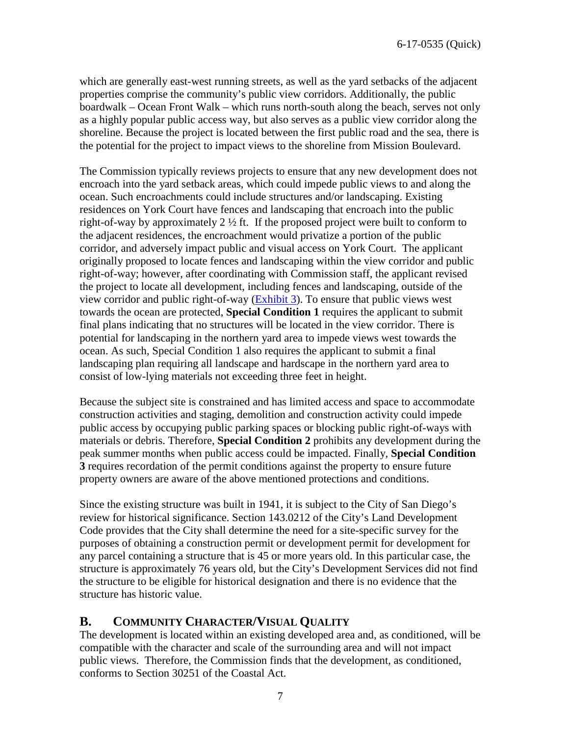which are generally east-west running streets, as well as the yard setbacks of the adjacent properties comprise the community's public view corridors. Additionally, the public boardwalk – Ocean Front Walk – which runs north-south along the beach, serves not only as a highly popular public access way, but also serves as a public view corridor along the shoreline. Because the project is located between the first public road and the sea, there is the potential for the project to impact views to the shoreline from Mission Boulevard.

The Commission typically reviews projects to ensure that any new development does not encroach into the yard setback areas, which could impede public views to and along the ocean. Such encroachments could include structures and/or landscaping. Existing residences on York Court have fences and landscaping that encroach into the public right-of-way by approximately 2 ½ ft. If the proposed project were built to conform to the adjacent residences, the encroachment would privatize a portion of the public corridor, and adversely impact public and visual access on York Court. The applicant originally proposed to locate fences and landscaping within the view corridor and public right-of-way; however, after coordinating with Commission staff, the applicant revised the project to locate all development, including fences and landscaping, outside of the view corridor and public right-of-way [\(Exhibit 3\)](https://documents.coastal.ca.gov/reports/2017/9/w7d/w7d-9-2017-exhibits.pdf). To ensure that public views west towards the ocean are protected, **Special Condition 1** requires the applicant to submit final plans indicating that no structures will be located in the view corridor. There is potential for landscaping in the northern yard area to impede views west towards the ocean. As such, Special Condition 1 also requires the applicant to submit a final landscaping plan requiring all landscape and hardscape in the northern yard area to consist of low-lying materials not exceeding three feet in height.

Because the subject site is constrained and has limited access and space to accommodate construction activities and staging, demolition and construction activity could impede public access by occupying public parking spaces or blocking public right-of-ways with materials or debris. Therefore, **Special Condition 2** prohibits any development during the peak summer months when public access could be impacted. Finally, **Special Condition 3** requires recordation of the permit conditions against the property to ensure future property owners are aware of the above mentioned protections and conditions.

Since the existing structure was built in 1941, it is subject to the City of San Diego's review for historical significance. Section 143.0212 of the City's Land Development Code provides that the City shall determine the need for a site-specific survey for the purposes of obtaining a construction permit or development permit for development for any parcel containing a structure that is 45 or more years old. In this particular case, the structure is approximately 76 years old, but the City's Development Services did not find the structure to be eligible for historical designation and there is no evidence that the structure has historic value.

#### <span id="page-6-0"></span>**B. COMMUNITY CHARACTER/VISUAL QUALITY**

The development is located within an existing developed area and, as conditioned, will be compatible with the character and scale of the surrounding area and will not impact public views. Therefore, the Commission finds that the development, as conditioned, conforms to Section 30251 of the Coastal Act.